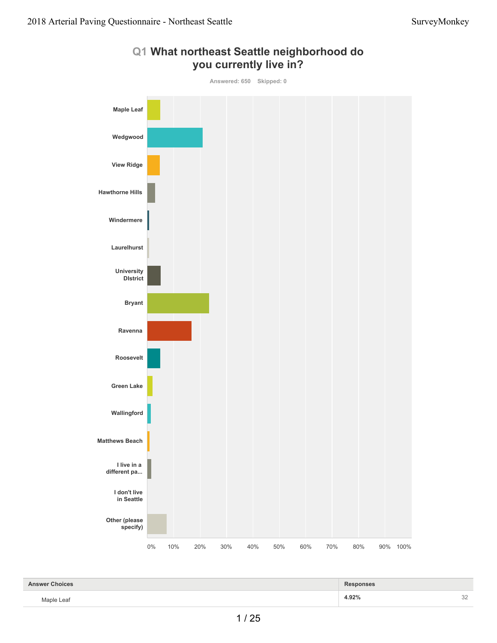

#### **Q1 What northeast Seattle neighborhood do you currently live in?**

| <b>Answer Choices</b> | <b>Responses</b> |          |
|-----------------------|------------------|----------|
| Maple Leaf            | 4.92%            | nn<br>32 |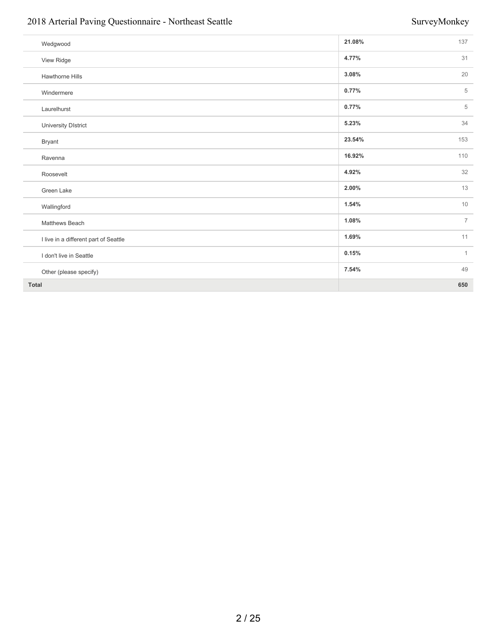#### 2018 Arterial Paving Questionnaire - Northeast Seattle SurveyMonkey SurveyMonkey

| Wedgwood                              | 21.08% | 137            |
|---------------------------------------|--------|----------------|
| View Ridge                            | 4.77%  | 31             |
| Hawthorne Hills                       | 3.08%  | 20             |
| Windermere                            | 0.77%  | 5              |
| Laurelhurst                           | 0.77%  | 5              |
| University DIstrict                   | 5.23%  | 34             |
| Bryant                                | 23.54% | 153            |
| Ravenna                               | 16.92% | 110            |
| Roosevelt                             | 4.92%  | 32             |
| Green Lake                            | 2.00%  | 13             |
| Wallingford                           | 1.54%  | 10             |
| Matthews Beach                        | 1.08%  | $\overline{7}$ |
| I live in a different part of Seattle | 1.69%  | 11             |
| I don't live in Seattle               | 0.15%  | $\mathbf{1}$   |
| Other (please specify)                | 7.54%  | 49             |
| <b>Total</b>                          |        | 650            |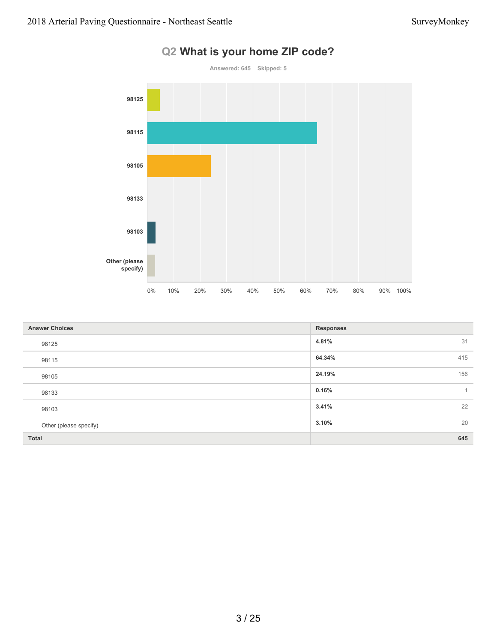

### **Q2 What is your home ZIP code?**

| <b>Answer Choices</b>  | <b>Responses</b>        |
|------------------------|-------------------------|
| 98125                  | 31<br>4.81%             |
| 98115                  | 415<br>64.34%           |
| 98105                  | 156<br>24.19%           |
| 98133                  | 0.16%<br>$\overline{1}$ |
| 98103                  | 22<br>3.41%             |
| Other (please specify) | 20<br>3.10%             |
| Total                  | 645                     |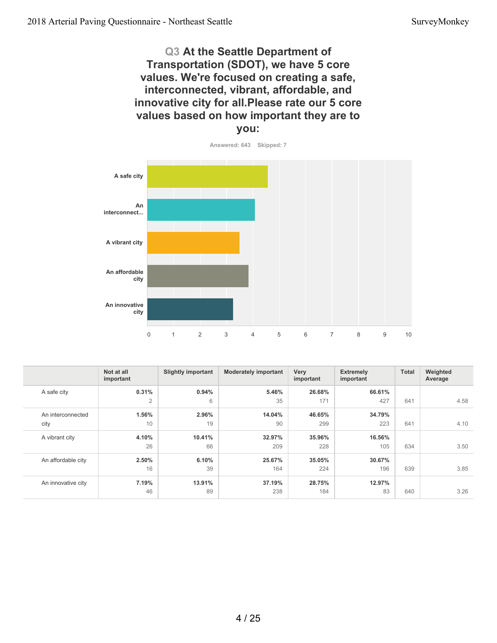#### **Q3 At the Seattle Department of Transportation (SDOT), we have 5 core values. We're focused on creating a safe, interconnected, vibrant, affordable, and innovative city for all.Please rate our 5 core values based on how important they are to you:**

**Answered: 643 Skipped: 7**

![](_page_3_Figure_4.jpeg)

|                    | Not at all<br>important | <b>Slightly important</b> | <b>Moderately important</b> | Very<br>important | <b>Extremely</b><br>important | Total | Weighted<br>Average |
|--------------------|-------------------------|---------------------------|-----------------------------|-------------------|-------------------------------|-------|---------------------|
| A safe city        | 0.31%                   | 0.94%                     | 5.46%                       | 26.68%            | 66.61%                        |       |                     |
|                    | $\overline{2}$          | 6                         | 35                          | 171               | 427                           | 641   | 4.58                |
| An interconnected  | 1.56%                   | 2.96%                     | 14.04%                      | 46.65%            | 34.79%                        |       |                     |
| city               | 10                      | 19                        | 90                          | 299               | 223                           | 641   | 4.10                |
| A vibrant city     | 4.10%                   | 10.41%                    | 32.97%                      | 35.96%            | 16.56%                        |       |                     |
|                    | 26                      | 66                        | 209                         | 228               | 105                           | 634   | 3.50                |
| An affordable city | 2.50%                   | 6.10%                     | 25.67%                      | 35.05%            | 30.67%                        |       |                     |
|                    | 16                      | 39                        | 164                         | 224               | 196                           | 639   | 3.85                |
| An innovative city | 7.19%                   | 13.91%                    | 37.19%                      | 28.75%            | 12.97%                        |       |                     |
|                    | 46                      | 89                        | 238                         | 184               | 83                            | 640   | 3.26                |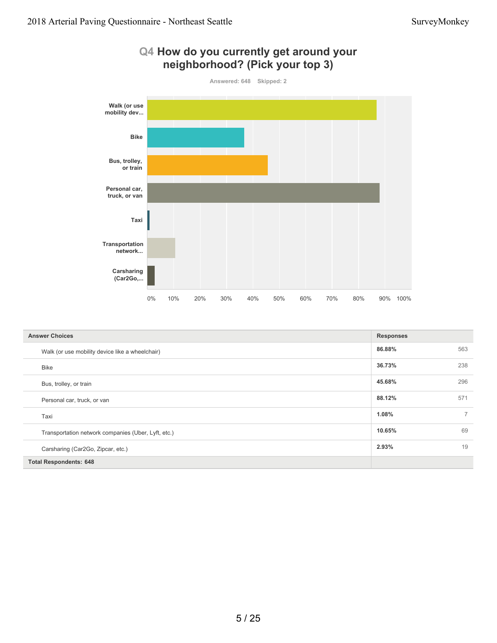![](_page_4_Figure_2.jpeg)

| <b>Answer Choices</b>                               | <b>Responses</b> |             |
|-----------------------------------------------------|------------------|-------------|
| Walk (or use mobility device like a wheelchair)     | 86.88%           | 563         |
| Bike                                                | 36.73%           | 238         |
| Bus, trolley, or train                              | 45.68%           | 296         |
| Personal car, truck, or van                         | 88.12%           | 571         |
| Taxi                                                | 1.08%            | $7^{\circ}$ |
| Transportation network companies (Uber, Lyft, etc.) | 10.65%           | 69          |
| Carsharing (Car2Go, Zipcar, etc.)                   | 2.93%            | 19          |
| <b>Total Respondents: 648</b>                       |                  |             |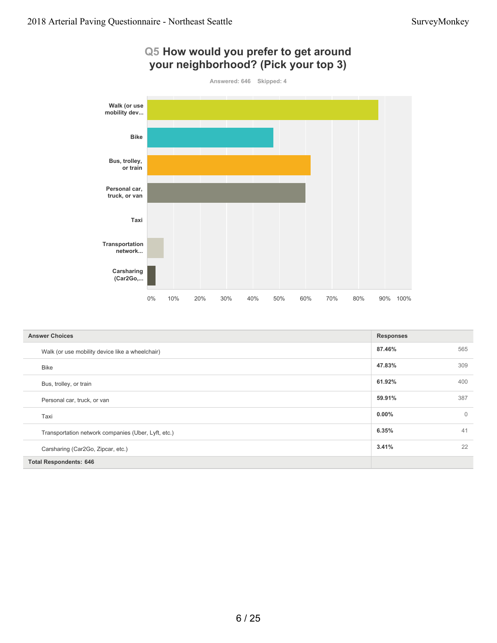![](_page_5_Figure_2.jpeg)

| <b>Answer Choices</b>                               | <b>Responses</b> |             |
|-----------------------------------------------------|------------------|-------------|
| Walk (or use mobility device like a wheelchair)     | 87.46%           | 565         |
| <b>Bike</b>                                         | 47.83%           | 309         |
| Bus, trolley, or train                              | 61.92%           | 400         |
| Personal car, truck, or van                         | 59.91%           | 387         |
| Taxi                                                | $0.00\%$         | $\mathbf 0$ |
| Transportation network companies (Uber, Lyft, etc.) | 6.35%            | 41          |
| Carsharing (Car2Go, Zipcar, etc.)                   | 3.41%            | 22          |
| <b>Total Respondents: 646</b>                       |                  |             |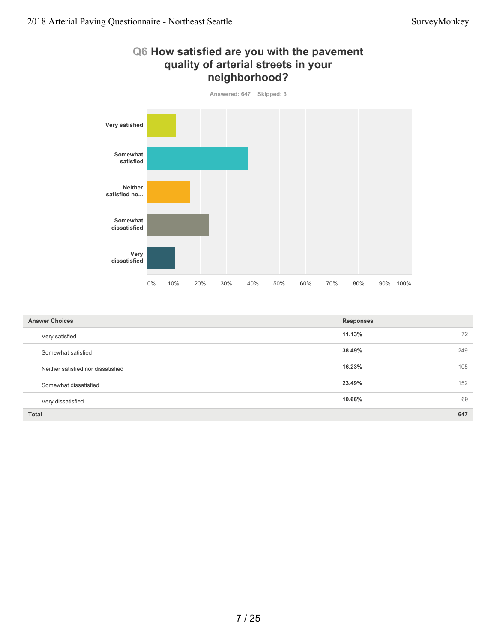![](_page_6_Figure_2.jpeg)

| <b>Answer Choices</b>              | <b>Responses</b> |
|------------------------------------|------------------|
| Very satisfied                     | 11.13%<br>72     |
| Somewhat satisfied                 | 38.49%<br>249    |
| Neither satisfied nor dissatisfied | 16.23%<br>105    |
| Somewhat dissatisfied              | 23.49%<br>152    |
| Very dissatisfied                  | 69<br>10.66%     |
| <b>Total</b>                       | 647              |

#### 7 / 25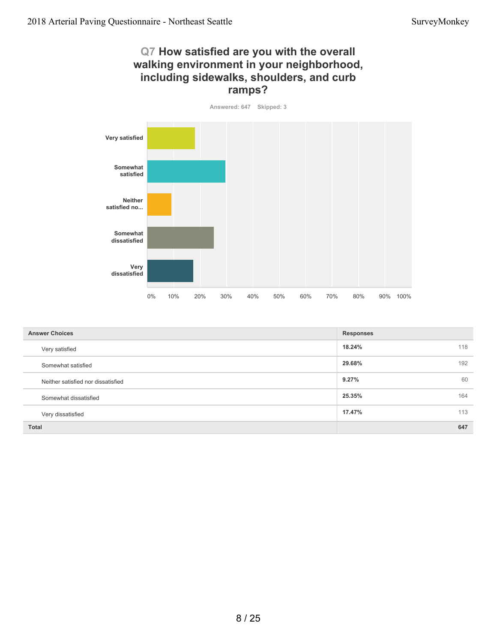#### **Q7 How satisfied are you with the overall walking environment in your neighborhood, including sidewalks, shoulders, and curb ramps?**

**Answered: 647 Skipped: 3**

![](_page_7_Figure_4.jpeg)

| <b>Answer Choices</b>              | <b>Responses</b> |
|------------------------------------|------------------|
| Very satisfied                     | 18.24%<br>118    |
| Somewhat satisfied                 | 192<br>29.68%    |
| Neither satisfied nor dissatisfied | 9.27%<br>60      |
| Somewhat dissatisfied              | 25.35%<br>164    |
| Very dissatisfied                  | 113<br>17.47%    |
| <b>Total</b>                       | 647              |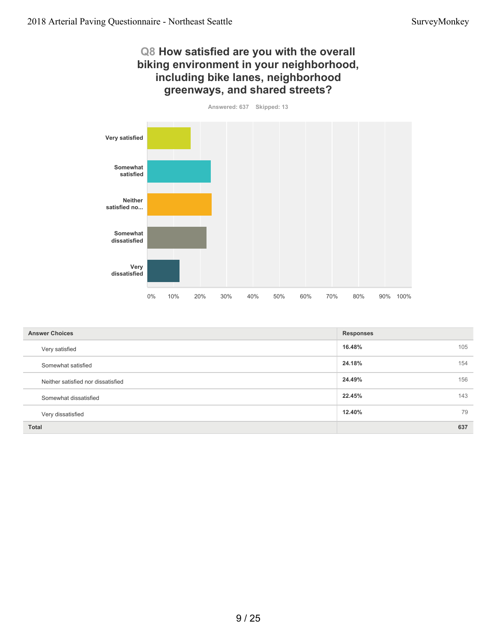#### **Q8 How satisfied are you with the overall biking environment in your neighborhood, including bike lanes, neighborhood greenways, and shared streets?**

**Answered: 637 Skipped: 13**

![](_page_8_Figure_4.jpeg)

| <b>Answer Choices</b>              | <b>Responses</b> |
|------------------------------------|------------------|
| Very satisfied                     | 16.48%<br>105    |
| Somewhat satisfied                 | 24.18%<br>154    |
| Neither satisfied nor dissatisfied | 24.49%<br>156    |
| Somewhat dissatisfied              | 22.45%<br>143    |
| Very dissatisfied                  | 79<br>12.40%     |
| <b>Total</b>                       | 637              |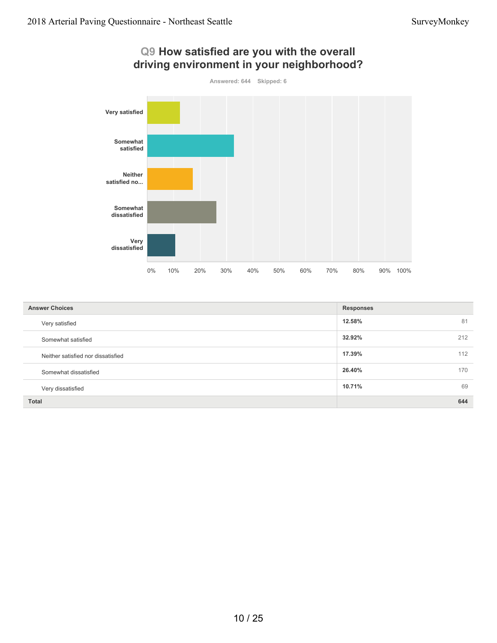![](_page_9_Figure_2.jpeg)

#### **12.58%** 81 **32.92%** 212 **17.39%** 112 **26.40%** 170 **10.71%** 69 **Total 644 Answer Choices Responses** Very satisfied Somewhat satisfied Neither satisfied nor dissatisfied Somewhat dissatisfied Very dissatisfied

# **Q9 How satisfied are you with the overall**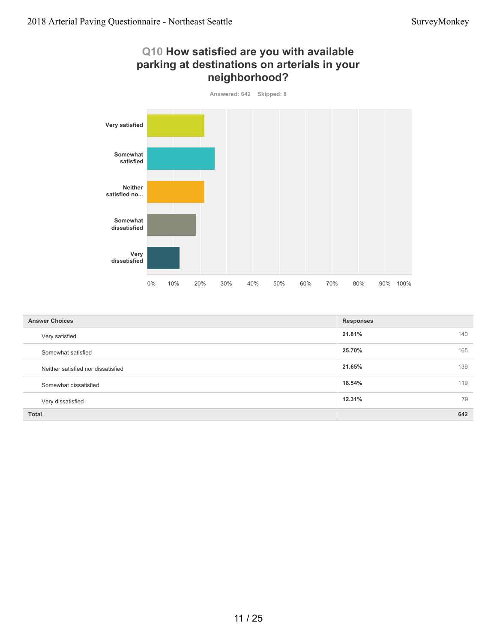#### **Q10 How satisfied are you with available parking at destinations on arterials in your neighborhood?**

![](_page_10_Figure_3.jpeg)

| <b>Answer Choices</b>              | <b>Responses</b> |    |
|------------------------------------|------------------|----|
| Very satisfied                     | 21.81%<br>140    |    |
| Somewhat satisfied                 | 165<br>25.70%    |    |
| Neither satisfied nor dissatisfied | 139<br>21.65%    |    |
| Somewhat dissatisfied              | 119<br>18.54%    |    |
| Very dissatisfied                  | 12.31%           | 79 |
| <b>Total</b>                       | 642              |    |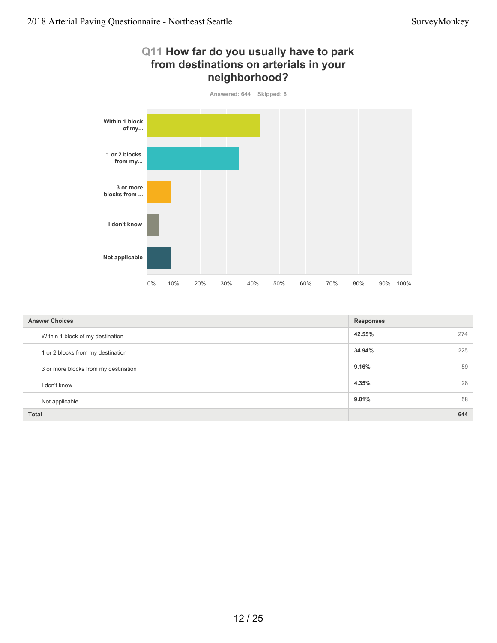#### **Q11 How far do you usually have to park from destinations on arterials in your neighborhood?**

![](_page_11_Figure_3.jpeg)

| <b>Answer Choices</b>                | <b>Responses</b> |     |
|--------------------------------------|------------------|-----|
| Within 1 block of my destination     | 42.55%           | 274 |
| 1 or 2 blocks from my destination    | 34.94%           | 225 |
| 3 or more blocks from my destination | 9.16%            | 59  |
| I don't know                         | 4.35%            | 28  |
| Not applicable                       | 9.01%            | 58  |
| <b>Total</b>                         |                  | 644 |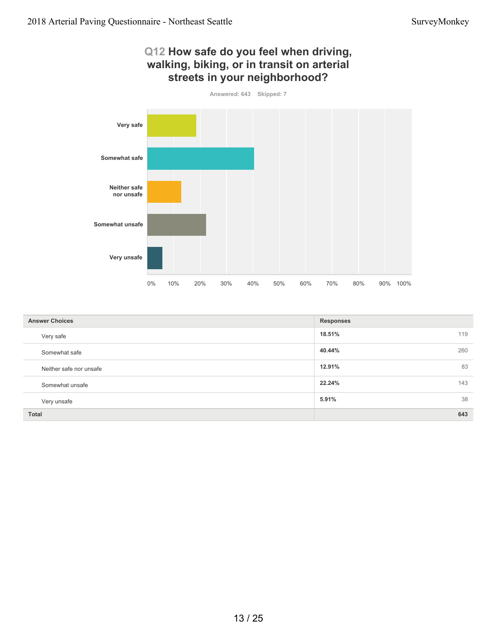#### **Q12 How safe do you feel when driving, walking, biking, or in transit on arterial streets in your neighborhood?**

![](_page_12_Figure_3.jpeg)

| <b>Answer Choices</b>   | <b>Responses</b> |
|-------------------------|------------------|
| Very safe               | 119<br>18.51%    |
| Somewhat safe           | 260<br>40.44%    |
| Neither safe nor unsafe | 83<br>12.91%     |
| Somewhat unsafe         | 143<br>22.24%    |
| Very unsafe             | 38<br>5.91%      |
| Total                   | 643              |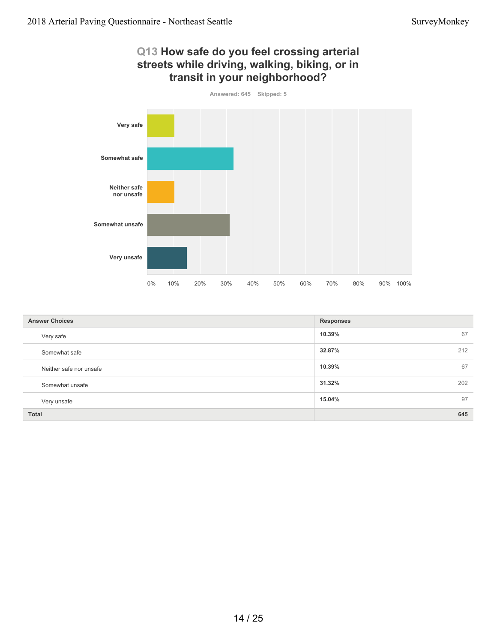#### **Q13 How safe do you feel crossing arterial streets while driving, walking, biking, or in transit in your neighborhood?**

![](_page_13_Figure_3.jpeg)

| <b>Answer Choices</b>   | <b>Responses</b> |
|-------------------------|------------------|
| Very safe               | 10.39%<br>67     |
| Somewhat safe           | 212<br>32.87%    |
| Neither safe nor unsafe | 10.39%<br>67     |
| Somewhat unsafe         | 202<br>31.32%    |
| Very unsafe             | 97<br>15.04%     |
| <b>Total</b>            | 645              |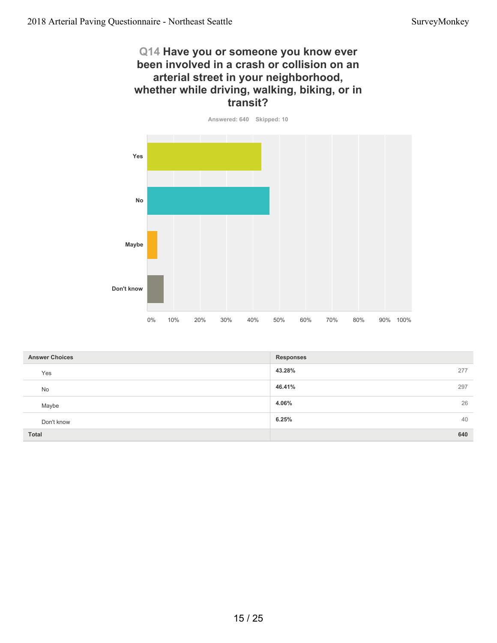#### **Q14 Have you or someone you know ever been involved in a crash or collision on an arterial street in your neighborhood, whether while driving, walking, biking, or in transit?**

![](_page_14_Figure_3.jpeg)

| <b>Answer Choices</b> | <b>Responses</b> |     |
|-----------------------|------------------|-----|
| Yes                   | 43.28%           | 277 |
| No                    | 46.41%           | 297 |
| Maybe                 | 4.06%            | 26  |
| Don't know            | 6.25%            | 40  |
| Total                 |                  | 640 |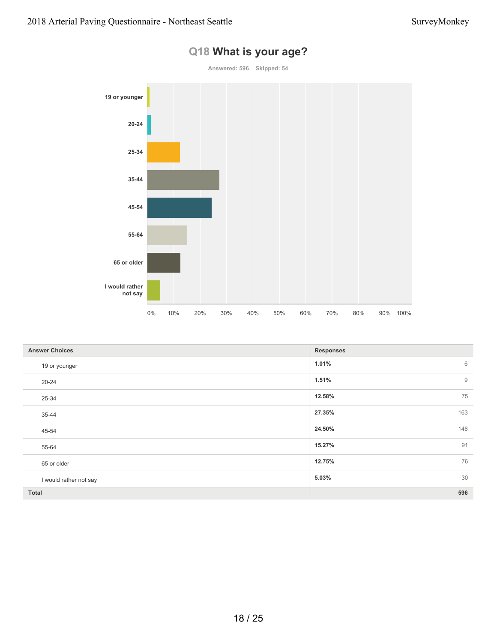![](_page_15_Figure_2.jpeg)

## **Q18 What is your age?**

| <b>Answer Choices</b>  | <b>Responses</b> |
|------------------------|------------------|
| 19 or younger          | 1.01%<br>6       |
| $20 - 24$              | $9$<br>1.51%     |
| 25-34                  | 75<br>12.58%     |
| 35-44                  | 163<br>27.35%    |
| 45-54                  | 146<br>24.50%    |
| 55-64                  | 91<br>15.27%     |
| 65 or older            | 76<br>12.75%     |
| I would rather not say | 30<br>5.03%      |
| Total                  | 596              |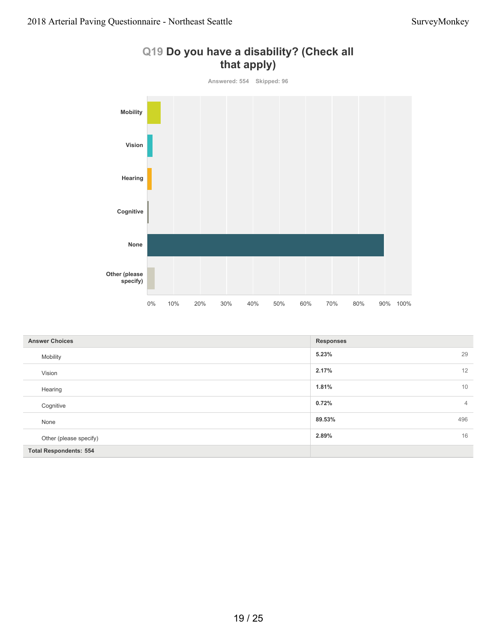![](_page_16_Figure_2.jpeg)

### **Q19 Do you have a disability? (Check all that apply)**

| <b>Answer Choices</b>         | <b>Responses</b>        |
|-------------------------------|-------------------------|
| Mobility                      | 29<br>5.23%             |
| Vision                        | 12<br>2.17%             |
| Hearing                       | 10<br>1.81%             |
| Cognitive                     | 0.72%<br>$\overline{4}$ |
| None                          | 496<br>89.53%           |
| Other (please specify)        | 16<br>2.89%             |
| <b>Total Respondents: 554</b> |                         |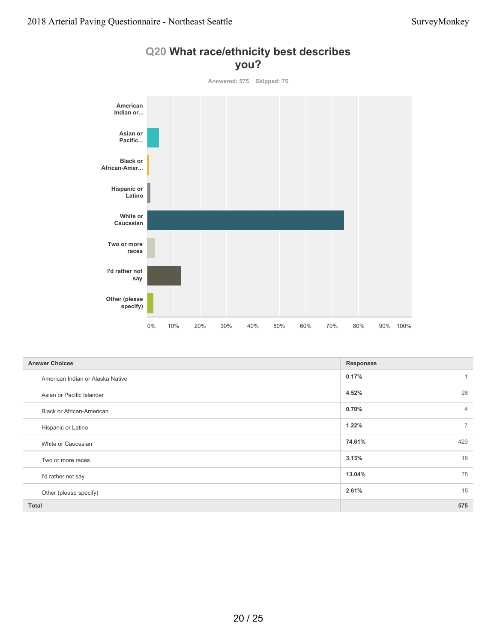![](_page_17_Figure_2.jpeg)

|  | Q20 What race/ethnicity best describes |  |
|--|----------------------------------------|--|
|  | you?                                   |  |

| <b>Answer Choices</b>            | <b>Responses</b>        |
|----------------------------------|-------------------------|
| American Indian or Alaska Native | 0.17%<br>$\overline{1}$ |
| Asian or Pacific Islander        | 26<br>4.52%             |
| <b>Black or African-American</b> | 0.70%<br>$\overline{4}$ |
| Hispanic or Latino               | $\overline{7}$<br>1.22% |
| White or Caucasian               | 74.61%<br>429           |
| Two or more races                | 18<br>3.13%             |
| I'd rather not say               | 75<br>13.04%            |
| Other (please specify)           | 15<br>2.61%             |
| <b>Total</b>                     | 575                     |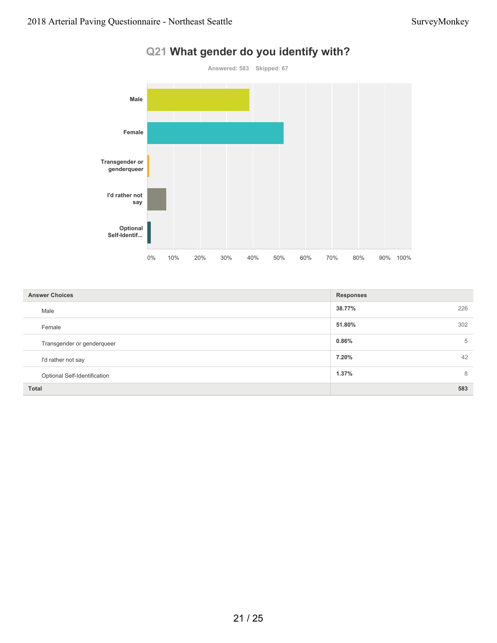![](_page_18_Figure_2.jpeg)

### **Q21 What gender do you identify with?**

| <b>Answer Choices</b>        | <b>Responses</b> |
|------------------------------|------------------|
| Male                         | 38.77%<br>226    |
| Female                       | 51.80%<br>302    |
| Transgender or genderqueer   | 0.86%<br>5       |
| I'd rather not say           | 7.20%<br>42      |
| Optional Self-Identification | 1.37%<br>8       |
| <b>Total</b>                 | 583              |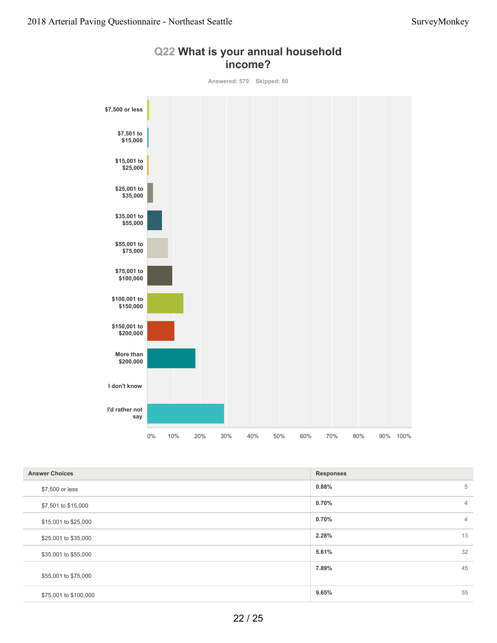![](_page_19_Figure_2.jpeg)

#### **Q22 What is your annual household income?**

| <b>Answer Choices</b> | <b>Responses</b>        |
|-----------------------|-------------------------|
| \$7,500 or less       | 5<br>0.88%              |
| \$7,501 to \$15,000   | 0.70%<br>$\overline{4}$ |
| \$15,001 to \$25,000  | 0.70%<br>$\overline{4}$ |
| \$25,001 to \$35,000  | 13<br>2.28%             |
| \$35,001 to \$55,000  | 32<br>5.61%             |
| \$55,001 to \$75,000  | 45<br>7.89%             |
| \$75,001 to \$100,000 | 55<br>9.65%             |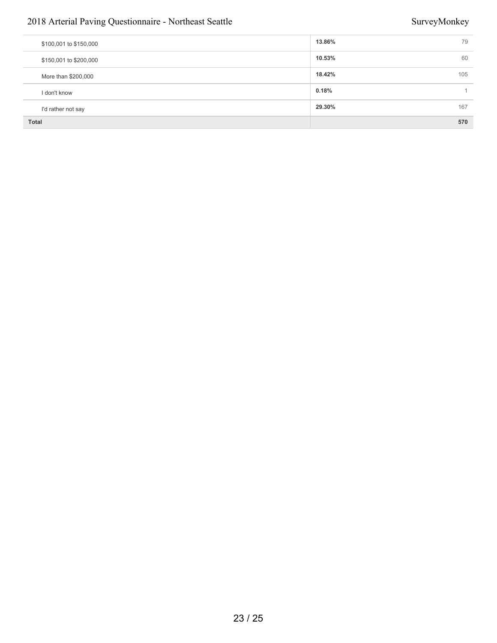#### 2018 Arterial Paving Questionnaire - Northeast Seattle SurveyMonkey SurveyMonkey

| \$100,001 to \$150,000 | 13.86% | 79  |
|------------------------|--------|-----|
| \$150,001 to \$200,000 | 10.53% | 60  |
| More than \$200,000    | 18.42% | 105 |
| I don't know           | 0.18%  |     |
| I'd rather not say     | 29.30% | 167 |
| <b>Total</b>           |        | 570 |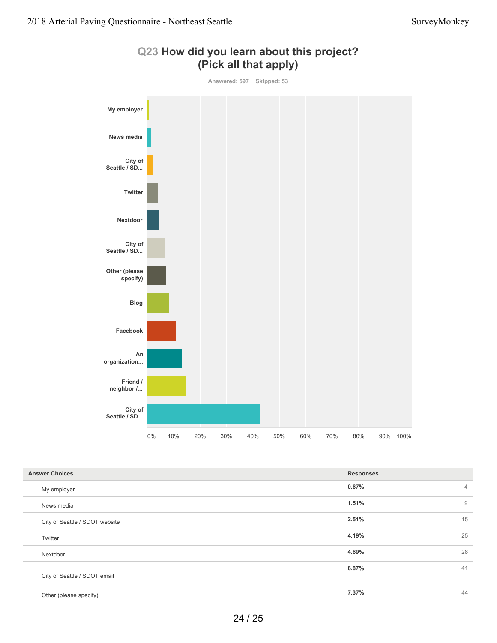![](_page_21_Figure_2.jpeg)

#### **Q23 How did you learn about this project? (Pick all that apply)**

| <b>Answer Choices</b>          | <b>Responses</b> |                |
|--------------------------------|------------------|----------------|
| My employer                    | 0.67%            | $\overline{4}$ |
| News media                     | 1.51%            | 9              |
| City of Seattle / SDOT website | 2.51%            | 15             |
| Twitter                        | 4.19%            | 25             |
| Nextdoor                       | 4.69%            | 28             |
| City of Seattle / SDOT email   | 6.87%            | 41             |
| Other (please specify)         | 7.37%            | 44             |